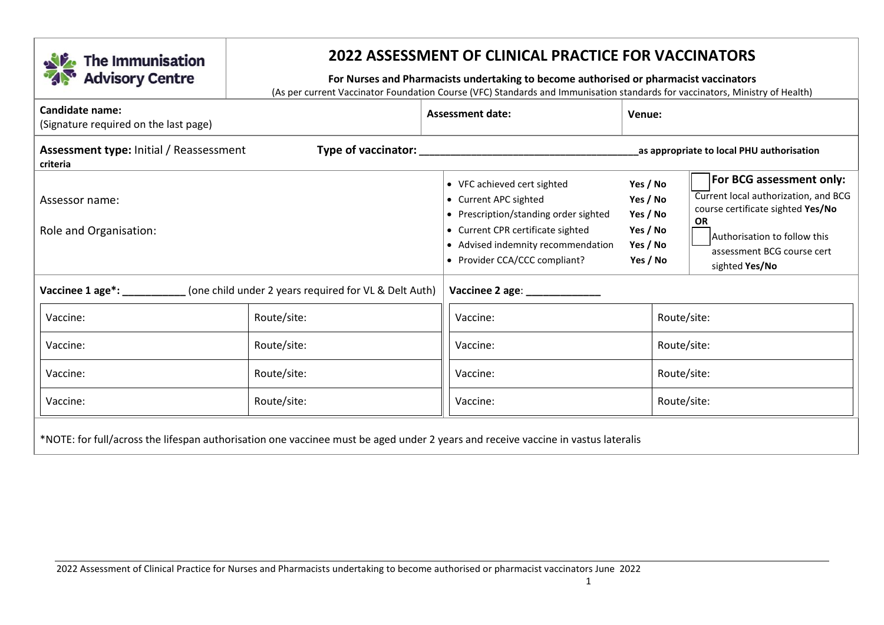

## **2022 ASSESSMENT OF CLINICAL PRACTICE FOR VACCINATORS**

## **For Nurses and Pharmacists undertaking to become authorised or pharmacist vaccinators**

(As per current Vaccinator Foundation Course (VFC) Standards and Immunisation standards for vaccinators, Ministry of Health)

| Candidate name:<br>(Signature required on the last page)                                                                          |                                                                                                          | <b>Assessment date:</b><br>Venue:                                                             |                                                                              |                                                                                                             |  |
|-----------------------------------------------------------------------------------------------------------------------------------|----------------------------------------------------------------------------------------------------------|-----------------------------------------------------------------------------------------------|------------------------------------------------------------------------------|-------------------------------------------------------------------------------------------------------------|--|
| <b>Assessment type: Initial / Reassessment</b><br>criteria                                                                        |                                                                                                          |                                                                                               | as appropriate to local PHU authorisation                                    |                                                                                                             |  |
| Assessor name:                                                                                                                    |                                                                                                          | • VFC achieved cert sighted<br>• Current APC sighted<br>• Prescription/standing order sighted | Yes / No<br>Yes / No<br>Yes / No                                             | For BCG assessment only:<br>Current local authorization, and BCG<br>course certificate sighted Yes/No<br>OR |  |
| Role and Organisation:                                                                                                            | • Current CPR certificate sighted<br>• Advised indemnity recommendation<br>• Provider CCA/CCC compliant? | Yes / No<br>Yes / No<br>Yes / No                                                              | Authorisation to follow this<br>assessment BCG course cert<br>sighted Yes/No |                                                                                                             |  |
| Vaccinee 1 age*: ___________<br>(one child under 2 years required for VL & Delt Auth)                                             |                                                                                                          |                                                                                               |                                                                              |                                                                                                             |  |
| Vaccine:                                                                                                                          | Route/site:                                                                                              | Vaccine:                                                                                      |                                                                              | Route/site:                                                                                                 |  |
| Vaccine:                                                                                                                          | Route/site:                                                                                              | Vaccine:                                                                                      |                                                                              | Route/site:                                                                                                 |  |
| Vaccine:                                                                                                                          | Route/site:                                                                                              | Vaccine:                                                                                      |                                                                              | Route/site:                                                                                                 |  |
| Vaccine:                                                                                                                          | Route/site:                                                                                              | Vaccine:                                                                                      |                                                                              | Route/site:                                                                                                 |  |
| *NOTE: for full/across the lifespan authorisation one vaccinee must be aged under 2 years and receive vaccine in vastus lateralis |                                                                                                          |                                                                                               |                                                                              |                                                                                                             |  |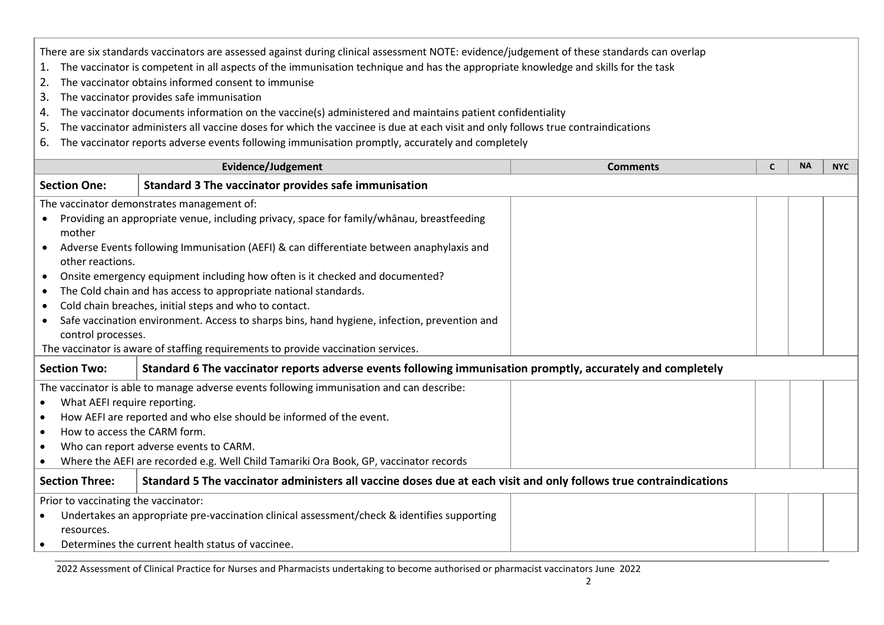There are six standards vaccinators are assessed against during clinical assessment NOTE: evidence/judgement of these standards can overlap

- 1. The vaccinator is competent in all aspects of the immunisation technique and has the appropriate knowledge and skills for the task
- 2. The vaccinator obtains informed consent to immunise
- 3. The vaccinator provides safe immunisation
- 4. The vaccinator documents information on the vaccine(s) administered and maintains patient confidentiality
- 5. The vaccinator administers all vaccine doses for which the vaccinee is due at each visit and only follows true contraindications
- 6. The vaccinator reports adverse events following immunisation promptly, accurately and completely

| Evidence/Judgement                                                                                                                         |                                                                                              | <b>Comments</b> | C                                                 | <b>NA</b> | <b>NYC</b> |  |
|--------------------------------------------------------------------------------------------------------------------------------------------|----------------------------------------------------------------------------------------------|-----------------|---------------------------------------------------|-----------|------------|--|
| Standard 3 The vaccinator provides safe immunisation<br><b>Section One:</b>                                                                |                                                                                              |                 |                                                   |           |            |  |
|                                                                                                                                            | The vaccinator demonstrates management of:                                                   |                 |                                                   |           |            |  |
|                                                                                                                                            | Providing an appropriate venue, including privacy, space for family/whanau, breastfeeding    |                 |                                                   |           |            |  |
| mother                                                                                                                                     |                                                                                              |                 |                                                   |           |            |  |
| $\bullet$                                                                                                                                  | Adverse Events following Immunisation (AEFI) & can differentiate between anaphylaxis and     |                 |                                                   |           |            |  |
| other reactions.                                                                                                                           |                                                                                              |                 |                                                   |           |            |  |
| $\bullet$                                                                                                                                  | Onsite emergency equipment including how often is it checked and documented?                 |                 |                                                   |           |            |  |
| $\bullet$                                                                                                                                  | The Cold chain and has access to appropriate national standards.                             |                 |                                                   |           |            |  |
| $\bullet$                                                                                                                                  | Cold chain breaches, initial steps and who to contact.                                       |                 |                                                   |           |            |  |
| $\bullet$                                                                                                                                  | Safe vaccination environment. Access to sharps bins, hand hygiene, infection, prevention and |                 |                                                   |           |            |  |
| control processes.                                                                                                                         |                                                                                              |                 |                                                   |           |            |  |
|                                                                                                                                            | The vaccinator is aware of staffing requirements to provide vaccination services.            |                 |                                                   |           |            |  |
| <b>Section Two:</b><br>Standard 6 The vaccinator reports adverse events following immunisation promptly, accurately and completely         |                                                                                              |                 |                                                   |           |            |  |
|                                                                                                                                            | The vaccinator is able to manage adverse events following immunisation and can describe:     |                 |                                                   |           |            |  |
| What AEFI require reporting.                                                                                                               |                                                                                              |                 |                                                   |           |            |  |
|                                                                                                                                            | How AEFI are reported and who else should be informed of the event.                          |                 |                                                   |           |            |  |
| $\bullet$                                                                                                                                  | How to access the CARM form.                                                                 |                 |                                                   |           |            |  |
|                                                                                                                                            | Who can report adverse events to CARM.                                                       |                 |                                                   |           |            |  |
| Where the AEFI are recorded e.g. Well Child Tamariki Ora Book, GP, vaccinator records                                                      |                                                                                              |                 |                                                   |           |            |  |
| <b>Section Three:</b><br>Standard 5 The vaccinator administers all vaccine doses due at each visit and only follows true contraindications |                                                                                              |                 |                                                   |           |            |  |
| Prior to vaccinating the vaccinator:                                                                                                       |                                                                                              |                 |                                                   |           |            |  |
|                                                                                                                                            | Undertakes an appropriate pre-vaccination clinical assessment/check & identifies supporting  |                 |                                                   |           |            |  |
| resources.                                                                                                                                 |                                                                                              |                 |                                                   |           |            |  |
|                                                                                                                                            |                                                                                              |                 | Determines the current health status of vaccinee. |           |            |  |

2022 Assessment of Clinical Practice for Nurses and Pharmacists undertaking to become authorised or pharmacist vaccinators June 2022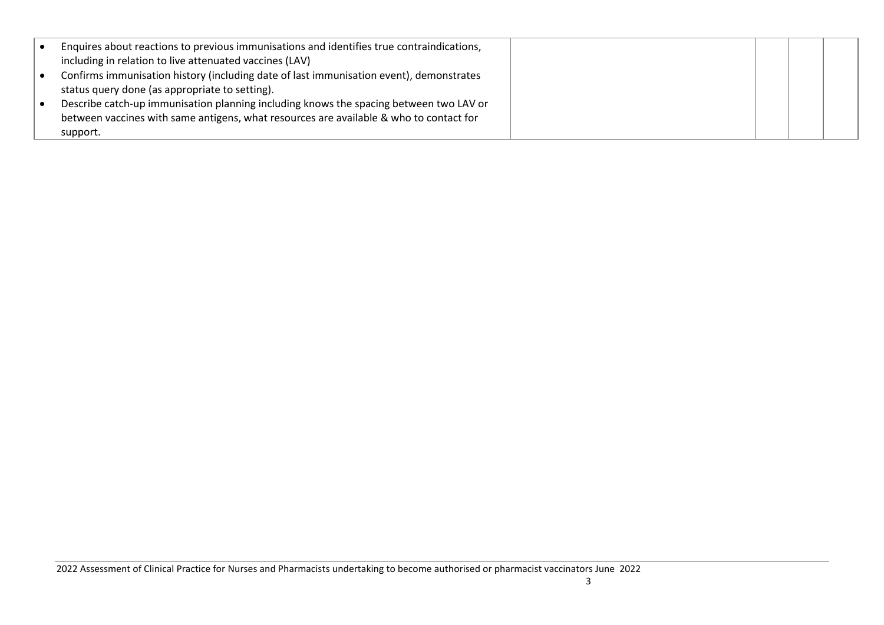| Enquires about reactions to previous immunisations and identifies true contraindications, |  |  |
|-------------------------------------------------------------------------------------------|--|--|
| including in relation to live attenuated vaccines (LAV)                                   |  |  |
| Confirms immunisation history (including date of last immunisation event), demonstrates   |  |  |
| status query done (as appropriate to setting).                                            |  |  |
| Describe catch-up immunisation planning including knows the spacing between two LAV or    |  |  |
| between vaccines with same antigens, what resources are available & who to contact for    |  |  |
| support.                                                                                  |  |  |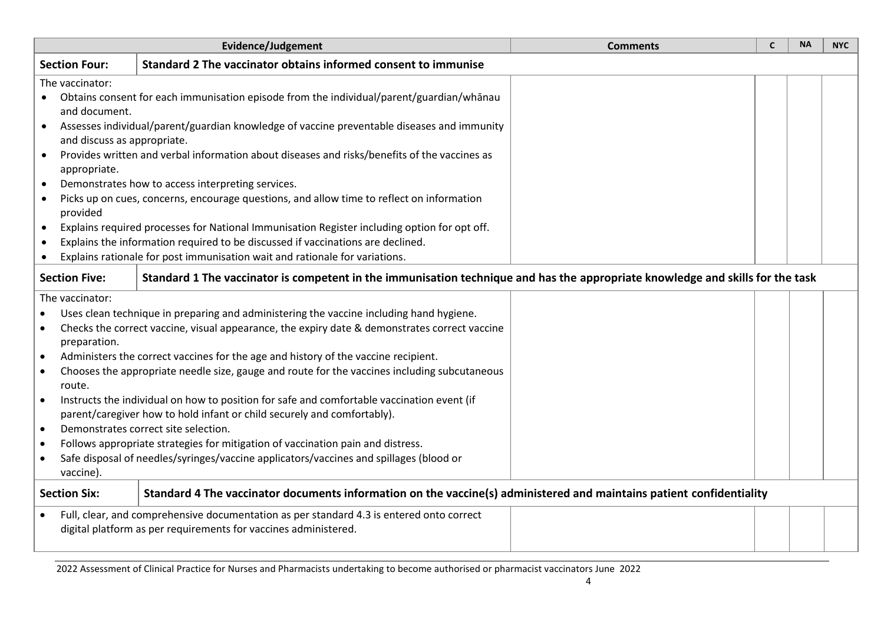|                                                                                                                                                                                                                                                                                                                                                                                                                                                                                                                                                                                                                                                                                                                                                                                                                                                                               | Evidence/Judgement                                                                                                                                     | <b>Comments</b> | C | <b>NA</b> | <b>NYC</b> |
|-------------------------------------------------------------------------------------------------------------------------------------------------------------------------------------------------------------------------------------------------------------------------------------------------------------------------------------------------------------------------------------------------------------------------------------------------------------------------------------------------------------------------------------------------------------------------------------------------------------------------------------------------------------------------------------------------------------------------------------------------------------------------------------------------------------------------------------------------------------------------------|--------------------------------------------------------------------------------------------------------------------------------------------------------|-----------------|---|-----------|------------|
| <b>Section Four:</b>                                                                                                                                                                                                                                                                                                                                                                                                                                                                                                                                                                                                                                                                                                                                                                                                                                                          | Standard 2 The vaccinator obtains informed consent to immunise                                                                                         |                 |   |           |            |
| The vaccinator:<br>Obtains consent for each immunisation episode from the individual/parent/guardian/whānau<br>and document.<br>Assesses individual/parent/guardian knowledge of vaccine preventable diseases and immunity<br>$\bullet$<br>and discuss as appropriate.<br>Provides written and verbal information about diseases and risks/benefits of the vaccines as<br>appropriate.<br>Demonstrates how to access interpreting services.<br>$\bullet$<br>Picks up on cues, concerns, encourage questions, and allow time to reflect on information<br>$\bullet$<br>provided<br>Explains required processes for National Immunisation Register including option for opt off.<br>$\bullet$<br>Explains the information required to be discussed if vaccinations are declined.<br>$\bullet$                                                                                   |                                                                                                                                                        |                 |   |           |            |
| Explains rationale for post immunisation wait and rationale for variations.                                                                                                                                                                                                                                                                                                                                                                                                                                                                                                                                                                                                                                                                                                                                                                                                   |                                                                                                                                                        |                 |   |           |            |
|                                                                                                                                                                                                                                                                                                                                                                                                                                                                                                                                                                                                                                                                                                                                                                                                                                                                               | <b>Section Five:</b><br>Standard 1 The vaccinator is competent in the immunisation technique and has the appropriate knowledge and skills for the task |                 |   |           |            |
| The vaccinator:<br>Uses clean technique in preparing and administering the vaccine including hand hygiene.<br>Checks the correct vaccine, visual appearance, the expiry date & demonstrates correct vaccine<br>preparation.<br>Administers the correct vaccines for the age and history of the vaccine recipient.<br>Chooses the appropriate needle size, gauge and route for the vaccines including subcutaneous<br>route.<br>Instructs the individual on how to position for safe and comfortable vaccination event (if<br>$\bullet$<br>parent/caregiver how to hold infant or child securely and comfortably).<br>Demonstrates correct site selection.<br>$\bullet$<br>Follows appropriate strategies for mitigation of vaccination pain and distress.<br>$\bullet$<br>Safe disposal of needles/syringes/vaccine applicators/vaccines and spillages (blood or<br>vaccine). |                                                                                                                                                        |                 |   |           |            |
| <b>Section Six:</b>                                                                                                                                                                                                                                                                                                                                                                                                                                                                                                                                                                                                                                                                                                                                                                                                                                                           | Standard 4 The vaccinator documents information on the vaccine(s) administered and maintains patient confidentiality                                   |                 |   |           |            |
| Full, clear, and comprehensive documentation as per standard 4.3 is entered onto correct<br>digital platform as per requirements for vaccines administered.                                                                                                                                                                                                                                                                                                                                                                                                                                                                                                                                                                                                                                                                                                                   |                                                                                                                                                        |                 |   |           |            |